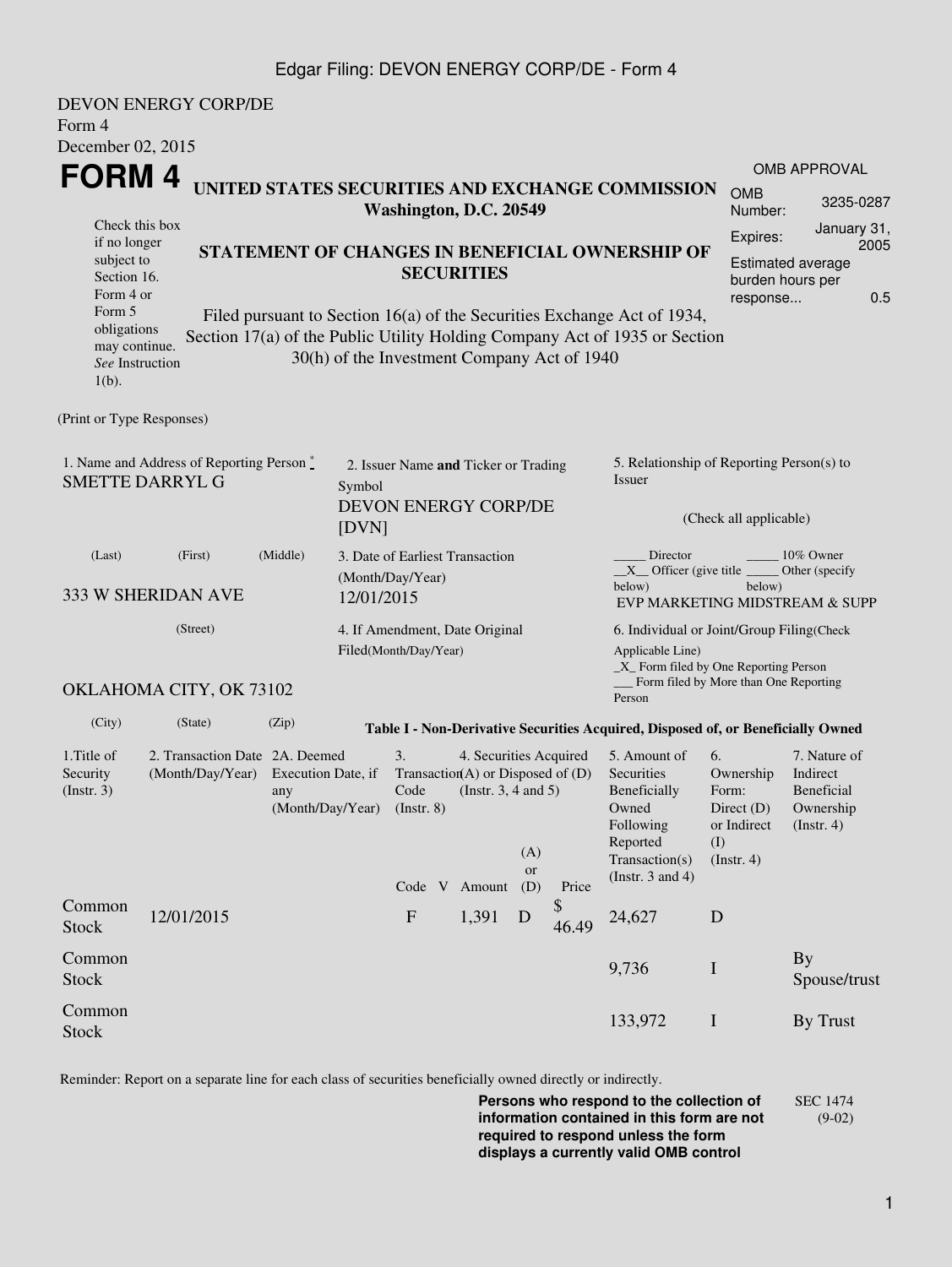### Edgar Filing: DEVON ENERGY CORP/DE - Form 4

| Form 4                                                                                                                          | <b>DEVON ENERGY CORP/DE</b>                                       |                                                                                 |  |                                                                                                   |                   |                                                                                                                                                   |                                                                               |                                                                                                                                                                                                          |                                                                               |                                                                                |  |  |
|---------------------------------------------------------------------------------------------------------------------------------|-------------------------------------------------------------------|---------------------------------------------------------------------------------|--|---------------------------------------------------------------------------------------------------|-------------------|---------------------------------------------------------------------------------------------------------------------------------------------------|-------------------------------------------------------------------------------|----------------------------------------------------------------------------------------------------------------------------------------------------------------------------------------------------------|-------------------------------------------------------------------------------|--------------------------------------------------------------------------------|--|--|
| December 02, 2015<br><b>FORM4</b><br>Check this box                                                                             |                                                                   | UNITED STATES SECURITIES AND EXCHANGE COMMISSION<br>Washington, D.C. 20549      |  |                                                                                                   |                   |                                                                                                                                                   |                                                                               |                                                                                                                                                                                                          |                                                                               |                                                                                |  |  |
| if no longer<br>subject to<br>Section 16.<br>Form 4 or<br>Form 5<br>obligations<br>may continue.<br>See Instruction<br>$1(b)$ . |                                                                   |                                                                                 |  | 30(h) of the Investment Company Act of 1940                                                       | <b>SECURITIES</b> |                                                                                                                                                   |                                                                               | STATEMENT OF CHANGES IN BENEFICIAL OWNERSHIP OF<br>Filed pursuant to Section 16(a) of the Securities Exchange Act of 1934,<br>Section 17(a) of the Public Utility Holding Company Act of 1935 or Section | Expires:<br>response                                                          | January 31,<br>2005<br><b>Estimated average</b><br>burden hours per<br>0.5     |  |  |
| (Print or Type Responses)                                                                                                       |                                                                   |                                                                                 |  |                                                                                                   |                   |                                                                                                                                                   |                                                                               |                                                                                                                                                                                                          |                                                                               |                                                                                |  |  |
| 1. Name and Address of Reporting Person $\stackrel{*}{\mathbb{L}}$<br><b>SMETTE DARRYL G</b>                                    |                                                                   | 2. Issuer Name and Ticker or Trading<br>Symbol<br>DEVON ENERGY CORP/DE<br>[DVN] |  |                                                                                                   |                   |                                                                                                                                                   | 5. Relationship of Reporting Person(s) to<br>Issuer<br>(Check all applicable) |                                                                                                                                                                                                          |                                                                               |                                                                                |  |  |
| (Last)<br>333 W SHERIDAN AVE                                                                                                    | 3. Date of Earliest Transaction<br>(Month/Day/Year)<br>12/01/2015 |                                                                                 |  |                                                                                                   |                   | Director<br>10% Owner<br>$X$ Officer (give title $\overline{\phantom{a}}$<br>Other (specify<br>below)<br>below)<br>EVP MARKETING MIDSTREAM & SUPP |                                                                               |                                                                                                                                                                                                          |                                                                               |                                                                                |  |  |
| (Street)<br>OKLAHOMA CITY, OK 73102                                                                                             |                                                                   |                                                                                 |  | 4. If Amendment, Date Original<br>Filed(Month/Day/Year)                                           |                   |                                                                                                                                                   |                                                                               | 6. Individual or Joint/Group Filing(Check<br>Applicable Line)<br>_X_ Form filed by One Reporting Person<br>Form filed by More than One Reporting<br>Person                                               |                                                                               |                                                                                |  |  |
| (City)                                                                                                                          | (State)                                                           | (Zip)                                                                           |  |                                                                                                   |                   |                                                                                                                                                   |                                                                               | Table I - Non-Derivative Securities Acquired, Disposed of, or Beneficially Owned                                                                                                                         |                                                                               |                                                                                |  |  |
| 1. Title of<br>Security<br>(Insert. 3)                                                                                          | (Month/Day/Year)                                                  | 2. Transaction Date 2A. Deemed<br>Execution Date, if<br>any                     |  | 3.<br>Transaction(A) or Disposed of $(D)$<br>Code<br>(Month/Day/Year) (Instr. 8)<br>Code V Amount |                   |                                                                                                                                                   | 4. Securities Acquired<br>(Instr. $3, 4$ and $5$ )<br>Price                   | 5. Amount of<br>Securities<br>Beneficially<br>Owned<br>Following<br>Reported<br>Transaction(s)<br>(Instr. $3$ and $4$ )                                                                                  | 6.<br>Ownership<br>Form:<br>Direct $(D)$<br>or Indirect<br>(I)<br>(Insert. 4) | 7. Nature of<br>Indirect<br><b>Beneficial</b><br>Ownership<br>$($ Instr. 4 $)$ |  |  |
| Common<br><b>Stock</b>                                                                                                          | 12/01/2015                                                        |                                                                                 |  | $\boldsymbol{\mathrm{F}}$                                                                         | 1,391             | (D)<br>D                                                                                                                                          | \$<br>46.49                                                                   | 24,627                                                                                                                                                                                                   | D                                                                             |                                                                                |  |  |
| Common<br><b>Stock</b>                                                                                                          |                                                                   |                                                                                 |  |                                                                                                   |                   |                                                                                                                                                   |                                                                               | 9,736                                                                                                                                                                                                    | $\bf{I}$                                                                      | <b>By</b><br>Spouse/trust                                                      |  |  |
| Common<br><b>Stock</b>                                                                                                          |                                                                   |                                                                                 |  |                                                                                                   |                   |                                                                                                                                                   |                                                                               | 133,972                                                                                                                                                                                                  | $\mathbf I$                                                                   | By Trust                                                                       |  |  |

Reminder: Report on a separate line for each class of securities beneficially owned directly or indirectly.

**Persons who respond to the collection of information contained in this form are not required to respond unless the form displays a currently valid OMB control** SEC 1474 (9-02)